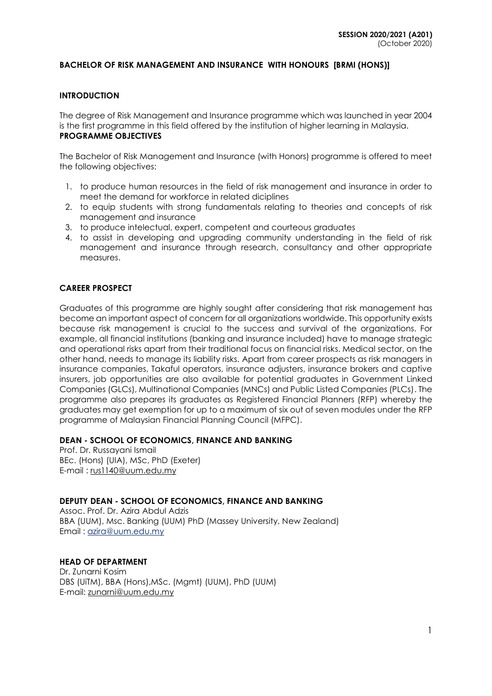### **BACHELOR OF RISK MANAGEMENT AND INSURANCE WITH HONOURS [BRMI (HONS)]**

#### **INTRODUCTION**

The degree of Risk Management and Insurance programme which was launched in year 2004 is the first programme in this field offered by the institution of higher learning in Malaysia. **PROGRAMME OBJECTIVES**

The Bachelor of Risk Management and Insurance (with Honors) programme is offered to meet the following objectives:

- 1. to produce human resources in the field of risk management and insurance in order to meet the demand for workforce in related diciplines
- 2. to equip students with strong fundamentals relating to theories and concepts of risk management and insurance
- 3. to produce intelectual, expert, competent and courteous graduates
- 4. to assist in developing and upgrading community understanding in the field of risk management and insurance through research, consultancy and other appropriate measures.

### **CAREER PROSPECT**

Graduates of this programme are highly sought after considering that risk management has become an important aspect of concern for all organizations worldwide. This opportunity exists because risk management is crucial to the success and survival of the organizations. For example, all financial institutions (banking and insurance included) have to manage strategic and operational risks apart from their traditional focus on financial risks. Medical sector, on the other hand, needs to manage its liability risks. Apart from career prospects as risk managers in insurance companies, Takaful operators, insurance adjusters, insurance brokers and captive insurers, job opportunities are also available for potential graduates in Government Linked Companies (GLCs), Multinational Companies (MNCs) and Public Listed Companies (PLCs). The programme also prepares its graduates as Registered Financial Planners (RFP) whereby the graduates may get exemption for up to a maximum of six out of seven modules under the RFP programme of Malaysian Financial Planning Council (MFPC).

#### **DEAN - SCHOOL OF ECONOMICS, FINANCE AND BANKING**

Prof. Dr. Russayani Ismail BEc. (Hons) (UIA), MSc, PhD (Exeter) E-mail : [rus1140@uum.edu.my](mailto:rus1140@uum.edu.my)

#### **DEPUTY DEAN - SCHOOL OF ECONOMICS, FINANCE AND BANKING**

Assoc. Prof. Dr. Azira Abdul Adzis BBA (UUM), Msc. Banking (UUM) PhD (Massey University, New Zealand) Email : [azira@uum.edu.my](mailto:azira@uum.edu.my)

#### **HEAD OF DEPARTMENT**

Dr. Zunarni Kosim DBS (UiTM), BBA (Hons),MSc. (Mgmt) (UUM), PhD (UUM) E-mail: zunarni@uum.edu.my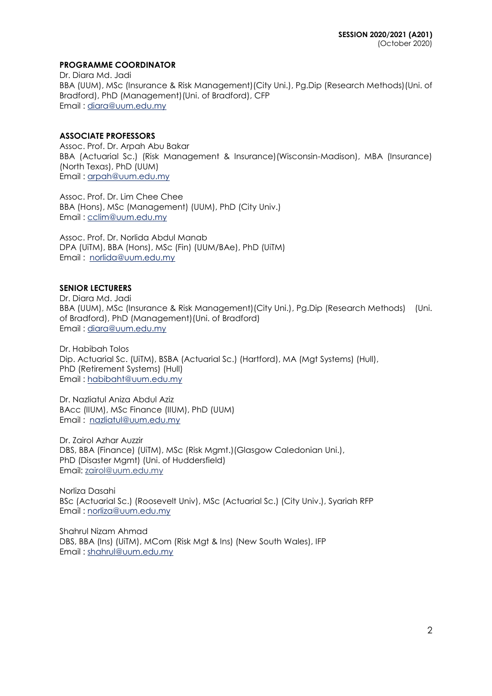## **PROGRAMME COORDINATOR**

Dr. Diara Md. Jadi BBA (UUM), MSc (Insurance & Risk Management)(City Uni.), Pg.Dip (Research Methods)(Uni. of Bradford), PhD (Management)(Uni. of Bradford), CFP Email : [diara@uum.edu.my](mailto:diara@uum.edu.my)

### **ASSOCIATE PROFESSORS**

Assoc. Prof. Dr. Arpah Abu Bakar BBA (Actuarial Sc.) (Risk Management & Insurance)(Wisconsin-Madison), MBA (Insurance) (North Texas), PhD (UUM) Email : [arpah@uum.edu.my](mailto:arpah@uum.edu.my)

Assoc. Prof. Dr. Lim Chee Chee BBA (Hons), MSc (Management) (UUM), PhD (City Univ.) Email : [cclim@uum.edu.my](mailto:cclim@uum.edu.my)

Assoc. Prof. Dr. Norlida Abdul Manab DPA (UiTM), BBA (Hons), MSc (Fin) (UUM/BAe), PhD (UiTM) Email : [norlida@uum.edu.my](mailto:norlida@uum.edu.my)

### **SENIOR LECTURERS**

Dr. Diara Md. Jadi BBA (UUM), MSc (Insurance & Risk Management)(City Uni.), Pg.Dip (Research Methods) (Uni. of Bradford), PhD (Management)(Uni. of Bradford) Email : [diara@uum.edu.my](mailto:diara@uum.edu.my)

Dr. Habibah Tolos Dip. Actuarial Sc. (UiTM), BSBA (Actuarial Sc.) (Hartford), MA (Mgt Systems) (Hull), PhD (Retirement Systems) (Hull) Email : [habibaht@uum.edu.my](mailto:habibaht@uum.edu.my)

Dr. Nazliatul Aniza Abdul Aziz BAcc (IIUM), MSc Finance (IIUM), PhD (UUM) Email : [nazliatul@uum.edu.my](mailto:nazliatul@uum.edu.my)

Dr. Zairol Azhar Auzzir DBS, BBA (Finance) (UiTM), MSc (Risk Mgmt.)(Glasgow Caledonian Uni.), PhD (Disaster Mgmt) (Uni. of Huddersfield) Email: [zairol@uum.edu.my](mailto:zairol@uum.edu.my)

Norliza Dasahi BSc (Actuarial Sc.) (Roosevelt Univ), MSc (Actuarial Sc.) (City Univ.), Syariah RFP Email : norliza@uum.edu.my

Shahrul Nizam Ahmad DBS, BBA (Ins) (UiTM), MCom (Risk Mgt & Ins) (New South Wales), IFP Email : shahrul@uum.edu.my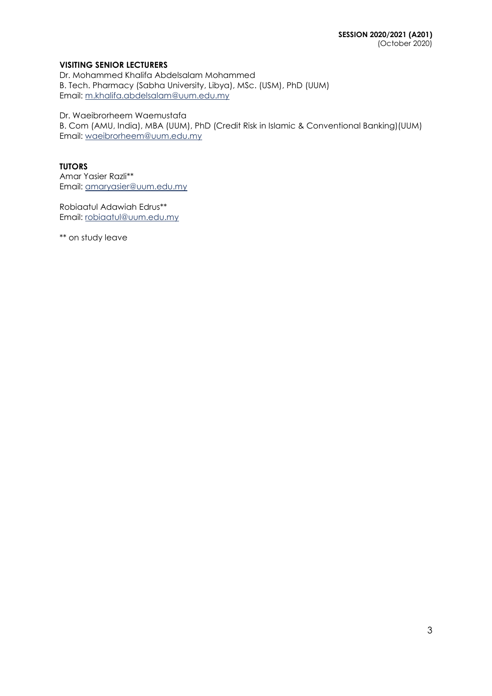# **VISITING SENIOR LECTURERS**

Dr. Mohammed Khalifa Abdelsalam Mohammed B. Tech. Pharmacy (Sabha University, Libya), MSc. (USM), PhD (UUM) Email: m.khalifa.abdelsalam@uum.edu.my

Dr. Waeibrorheem Waemustafa

B. Com (AMU, India), MBA (UUM), PhD (Credit Risk in Islamic & Conventional Banking)(UUM) Email: waeibrorheem@uum.edu.my

# **TUTORS**

Amar Yasier Razli\*\* Email: amaryasier@uum.edu.my

Robiaatul Adawiah Edrus\*\* Email: [robiaatul@uum.edu.my](mailto:robiaatul@uum.edu.my)

\*\* on study leave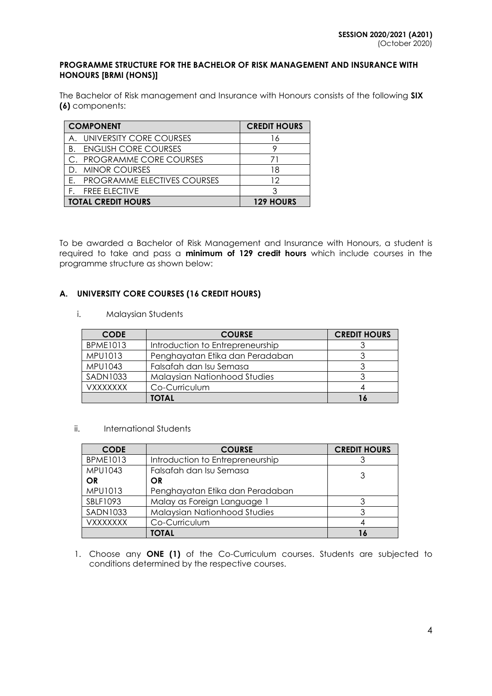### **PROGRAMME STRUCTURE FOR THE BACHELOR OF RISK MANAGEMENT AND INSURANCE WITH HONOURS [BRMI (HONS)]**

The Bachelor of Risk management and Insurance with Honours consists of the following **SIX (6)** components:

| <b>COMPONENT</b>                   | <b>CREDIT HOURS</b> |
|------------------------------------|---------------------|
| UNIVERSITY CORE COURSES<br>A       | 16                  |
| <b>ENGLISH CORE COURSES</b><br>B.  |                     |
| C. PROGRAMME CORE COURSES          |                     |
| D. MINOR COURSES                   | 18                  |
| <b>PROGRAMME ELECTIVES COURSES</b> | 12                  |
| <b>FREE ELECTIVE</b>               |                     |
| <b>TOTAL CREDIT HOURS</b>          | <b>129 HOURS</b>    |

To be awarded a Bachelor of Risk Management and Insurance with Honours, a student is required to take and pass a **minimum of 129 credit hours** which include courses in the programme structure as shown below:

# **A. UNIVERSITY CORE COURSES (16 CREDIT HOURS)**

i. Malaysian Students

| <b>CODE</b>     | <b>COURSE</b>                    | <b>CREDIT HOURS</b> |
|-----------------|----------------------------------|---------------------|
| <b>BPME1013</b> | Introduction to Entrepreneurship |                     |
| <b>MPU1013</b>  | Penghayatan Etika dan Peradaban  |                     |
| <b>MPU1043</b>  | Falsafah dan Isu Semasa          |                     |
| <b>SADN1033</b> | Malaysian Nationhood Studies     |                     |
| <b>VXXXXXXX</b> | Co-Curriculum                    |                     |
|                 | <b>TOTAL</b>                     |                     |

# ii. International Students

| <b>CODE</b>     | <b>COURSE</b>                       | <b>CREDIT HOURS</b> |
|-----------------|-------------------------------------|---------------------|
| <b>BPME1013</b> | Introduction to Entrepreneurship    |                     |
| MPU1043         | Falsafah dan Isu Semasa             | 3                   |
| OR              | OR                                  |                     |
| MPU1013         | Penghayatan Etika dan Peradaban     |                     |
| SBLF1093        | Malay as Foreign Language 1         |                     |
| <b>SADN1033</b> | <b>Malaysian Nationhood Studies</b> |                     |
| <b>VXXXXXXX</b> | Co-Curriculum                       |                     |
|                 | <b>TOTAL</b>                        |                     |

1. Choose any **ONE (1)** of the Co-Curriculum courses. Students are subjected to conditions determined by the respective courses.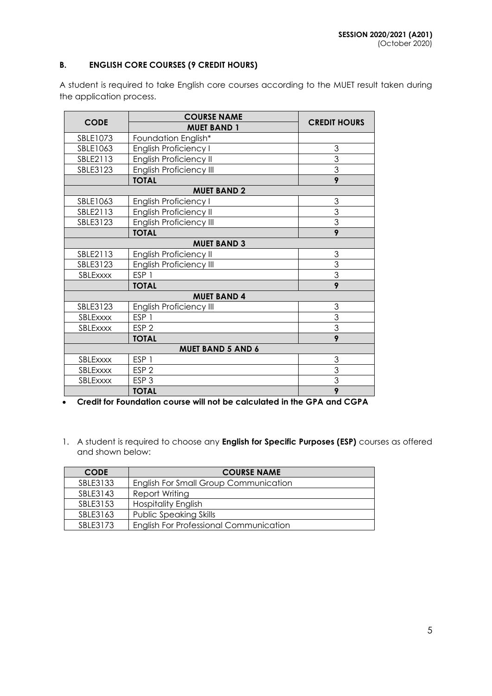# **B. ENGLISH CORE COURSES (9 CREDIT HOURS)**

A student is required to take English core courses according to the MUET result taken during the application process.

|             | <b>COURSE NAME</b>             |                     |
|-------------|--------------------------------|---------------------|
| <b>CODE</b> | <b>MUET BAND 1</b>             | <b>CREDIT HOURS</b> |
| SBLE1073    | Foundation English*            |                     |
| SBLE1063    | English Proficiency I          | 3                   |
| SBLE2113    | English Proficiency II         | 3                   |
| SBLE3123    | <b>English Proficiency III</b> | $\overline{3}$      |
|             | <b>TOTAL</b>                   | 9                   |
|             | <b>MUET BAND 2</b>             |                     |
| SBLE1063    | <b>English Proficiency I</b>   | 3                   |
| SBLE2113    | English Proficiency II         | 3                   |
| SBLE3123    | <b>English Proficiency III</b> | $\overline{3}$      |
|             | <b>TOTAL</b>                   | 9                   |
|             | <b>MUET BAND 3</b>             |                     |
| SBLE2113    | English Proficiency II         | 3                   |
| SBLE3123    | English Proficiency III        | $\overline{3}$      |
| SBLExxxx    | ESP <sub>1</sub>               | $\overline{3}$      |
|             | <b>TOTAL</b>                   | 9                   |
|             | <b>MUET BAND 4</b>             |                     |
| SBLE3123    | <b>English Proficiency III</b> | 3                   |
| SBLExxxx    | ESP <sub>1</sub>               | 3                   |
| SBLExxxx    | ESP <sub>2</sub>               | 3                   |
|             | <b>TOTAL</b>                   | 9                   |
|             | <b>MUET BAND 5 AND 6</b>       |                     |
| SBLExxxx    | ESP <sub>1</sub>               | 3                   |
| SBLExxxx    | ESP <sub>2</sub>               | 3                   |
| SBLExxxx    | ESP <sub>3</sub>               | 3                   |
|             | <b>TOTAL</b>                   | 9                   |

**Credit for Foundation course will not be calculated in the GPA and CGPA**

1. A student is required to choose any **English for Specific Purposes (ESP)** courses as offered and shown below:

| <b>CODE</b> | <b>COURSE NAME</b>                            |
|-------------|-----------------------------------------------|
| SBLE3133    | English For Small Group Communication         |
| SBLE3143    | <b>Report Writing</b>                         |
| SBLE3153    | <b>Hospitality English</b>                    |
| SBLE3163    | <b>Public Speaking Skills</b>                 |
| SBLE3173    | <b>English For Professional Communication</b> |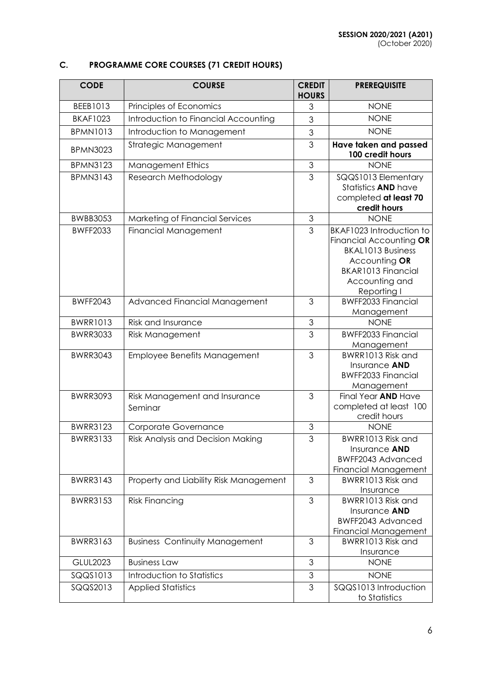# **C. PROGRAMME CORE COURSES (71 CREDIT HOURS)**

| <b>CODE</b>     | <b>COURSE</b>                            | <b>CREDIT</b><br><b>HOURS</b> | <b>PREREQUISITE</b>                                                                                                                                     |
|-----------------|------------------------------------------|-------------------------------|---------------------------------------------------------------------------------------------------------------------------------------------------------|
| BEEB1013        | Principles of Economics                  | 3                             | <b>NONE</b>                                                                                                                                             |
| <b>BKAF1023</b> | Introduction to Financial Accounting     | 3                             | <b>NONE</b>                                                                                                                                             |
| <b>BPMN1013</b> | Introduction to Management               | 3                             | <b>NONE</b>                                                                                                                                             |
| <b>BPMN3023</b> | Strategic Management                     | 3                             | Have taken and passed<br>100 credit hours                                                                                                               |
| <b>BPMN3123</b> | <b>Management Ethics</b>                 | 3                             | <b>NONE</b>                                                                                                                                             |
| <b>BPMN3143</b> | Research Methodology                     | 3                             | SQQS1013 Elementary<br>Statistics AND have<br>completed at least 70<br>credit hours                                                                     |
| <b>BWBB3053</b> | Marketing of Financial Services          | 3                             | <b>NONE</b>                                                                                                                                             |
| <b>BWFF2033</b> | <b>Financial Management</b>              | 3                             | BKAF1023 Introduction to<br>Financial Accounting OR<br><b>BKAL1013 Business</b><br>Accounting OR<br>BKAR1013 Financial<br>Accounting and<br>Reporting I |
| <b>BWFF2043</b> | Advanced Financial Management            | 3                             | BWFF2033 Financial<br>Management                                                                                                                        |
| <b>BWRR1013</b> | <b>Risk and Insurance</b>                | 3                             | <b>NONE</b>                                                                                                                                             |
| <b>BWRR3033</b> | <b>Risk Management</b>                   | 3                             | <b>BWFF2033 Financial</b><br>Management                                                                                                                 |
| <b>BWRR3043</b> | Employee Benefits Management             | 3                             | BWRR1013 Risk and<br>Insurance AND<br><b>BWFF2033 Financial</b><br>Management                                                                           |
| <b>BWRR3093</b> | Risk Management and Insurance<br>Seminar | 3                             | Final Year AND Have<br>completed at least 100<br>credit hours                                                                                           |
| <b>BWRR3123</b> | Corporate Governance                     | 3                             | <b>NONE</b>                                                                                                                                             |
| <b>BWRR3133</b> | <b>Risk Analysis and Decision Making</b> | 3                             | BWRR1013 Risk and<br>Insurance AND<br>BWFF2043 Advanced<br>Financial Management                                                                         |
| <b>BWRR3143</b> | Property and Liability Risk Management   | 3                             | BWRR1013 Risk and<br>Insurance                                                                                                                          |
| <b>BWRR3153</b> | <b>Risk Financing</b>                    | 3                             | BWRR1013 Risk and<br>Insurance <b>AND</b><br>BWFF2043 Advanced<br><b>Financial Management</b>                                                           |
| <b>BWRR3163</b> | <b>Business Continuity Management</b>    | 3                             | BWRR1013 Risk and<br>Insurance                                                                                                                          |
| <b>GLUL2023</b> | <b>Business Law</b>                      | 3                             | <b>NONE</b>                                                                                                                                             |
| SQQS1013        | Introduction to Statistics               | 3                             | <b>NONE</b>                                                                                                                                             |
| SQQS2013        | <b>Applied Statistics</b>                | 3                             | SQQS1013 Introduction<br>to Statistics                                                                                                                  |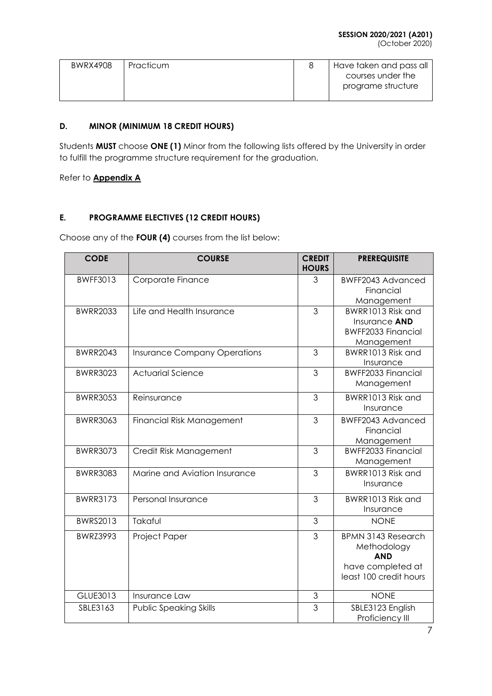| <b>BWRX4908</b> | Practicum | Have taken and pass all |
|-----------------|-----------|-------------------------|
|                 |           | courses under the       |
|                 |           | programe structure      |

# **D. MINOR (MINIMUM 18 CREDIT HOURS)**

Students **MUST** choose **ONE (1)** Minor from the following lists offered by the University in order to fulfill the programme structure requirement for the graduation.

Refer to **Appendix A**

# **E. PROGRAMME ELECTIVES (12 CREDIT HOURS)**

Choose any of the **FOUR (4)** courses from the list below:

| <b>CODE</b>     | <b>COURSE</b>                       | <b>CREDIT</b><br><b>HOURS</b> | <b>PREREQUISITE</b>       |
|-----------------|-------------------------------------|-------------------------------|---------------------------|
| <b>BWFF3013</b> | Corporate Finance                   | 3                             | <b>BWFF2043 Advanced</b>  |
|                 |                                     |                               | Financial                 |
|                 |                                     |                               | Management                |
| <b>BWRR2033</b> | Life and Health Insurance           | 3                             | BWRR1013 Risk and         |
|                 |                                     |                               | Insurance AND             |
|                 |                                     |                               | <b>BWFF2033 Financial</b> |
|                 |                                     |                               | Management                |
| <b>BWRR2043</b> | <b>Insurance Company Operations</b> | 3                             | BWRR1013 Risk and         |
|                 |                                     |                               | Insurance                 |
| <b>BWRR3023</b> | <b>Actuarial Science</b>            | 3                             | <b>BWFF2033 Financial</b> |
|                 |                                     |                               | Management                |
| <b>BWRR3053</b> | Reinsurance                         | 3                             | BWRR1013 Risk and         |
|                 |                                     |                               | Insurance                 |
| <b>BWRR3063</b> | <b>Financial Risk Management</b>    | 3                             | BWFF2043 Advanced         |
|                 |                                     |                               | Financial                 |
|                 |                                     |                               | Management                |
| <b>BWRR3073</b> | Credit Risk Management              | 3                             | <b>BWFF2033 Financial</b> |
|                 |                                     |                               | Management                |
| <b>BWRR3083</b> | Marine and Aviation Insurance       | 3                             | BWRR1013 Risk and         |
|                 |                                     |                               | Insurance                 |
| <b>BWRR3173</b> | Personal Insurance                  | 3                             | BWRR1013 Risk and         |
|                 |                                     |                               | Insurance                 |
| BWRS2013        | Takaful                             | 3                             | <b>NONE</b>               |
| <b>BWRZ3993</b> | Project Paper                       | 3                             | <b>BPMN 3143 Research</b> |
|                 |                                     |                               | Methodology               |
|                 |                                     |                               | <b>AND</b>                |
|                 |                                     |                               | have completed at         |
|                 |                                     |                               | least 100 credit hours    |
| GLUE3013        | Insurance Law                       | 3                             | <b>NONE</b>               |
| SBLE3163        | <b>Public Speaking Skills</b>       | 3                             | SBLE3123 English          |
|                 |                                     |                               | Proficiency III           |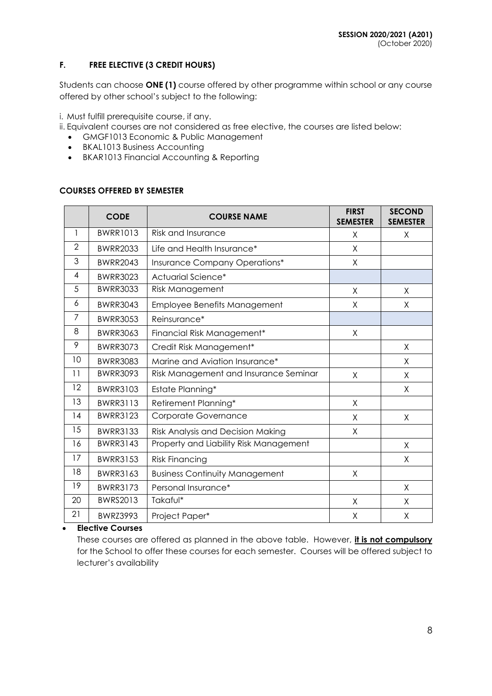# **F. FREE ELECTIVE (3 CREDIT HOURS)**

Students can choose **ONE (1)** course offered by other programme within school or any course offered by other school's subject to the following:

i. Must fulfill prerequisite course, if any.

- ii. Equivalent courses are not considered as free elective, the courses are listed below:
	- GMGF1013 Economic & Public Management
	- BKAL1013 Business Accounting
	- BKAR1013 Financial Accounting & Reporting

# **COURSES OFFERED BY SEMESTER**

|                | <b>CODE</b>     | <b>COURSE NAME</b>                     | <b>FIRST</b><br><b>SEMESTER</b> | <b>SECOND</b><br><b>SEMESTER</b> |
|----------------|-----------------|----------------------------------------|---------------------------------|----------------------------------|
| 1              | <b>BWRR1013</b> | Risk and Insurance                     | X                               | X                                |
| $\overline{2}$ | <b>BWRR2033</b> | Life and Health Insurance*             | X                               |                                  |
| 3              | <b>BWRR2043</b> | Insurance Company Operations*          | X                               |                                  |
| 4              | <b>BWRR3023</b> | Actuarial Science*                     |                                 |                                  |
| 5              | <b>BWRR3033</b> | Risk Management                        | X                               | X                                |
| 6              | <b>BWRR3043</b> | Employee Benefits Management           | Χ                               | X                                |
| 7              | <b>BWRR3053</b> | Reinsurance*                           |                                 |                                  |
| 8              | <b>BWRR3063</b> | Financial Risk Management*             | X                               |                                  |
| 9              | <b>BWRR3073</b> | Credit Risk Management*                |                                 | X                                |
| 10             | <b>BWRR3083</b> | Marine and Aviation Insurance*         |                                 | X                                |
| 11             | <b>BWRR3093</b> | Risk Management and Insurance Seminar  | X                               | X                                |
| 12             | <b>BWRR3103</b> | Estate Planning*                       |                                 | X                                |
| 13             | <b>BWRR3113</b> | Retirement Planning*                   | X                               |                                  |
| 14             | <b>BWRR3123</b> | Corporate Governance                   | X                               | X                                |
| 15             | <b>BWRR3133</b> | Risk Analysis and Decision Making      | Χ                               |                                  |
| 16             | <b>BWRR3143</b> | Property and Liability Risk Management |                                 | X                                |
| 17             | <b>BWRR3153</b> | <b>Risk Financing</b>                  |                                 | X                                |
| 18             | <b>BWRR3163</b> | <b>Business Continuity Management</b>  | Χ                               |                                  |
| 19             | <b>BWRR3173</b> | Personal Insurance*                    |                                 | X                                |
| 20             | <b>BWRS2013</b> | Takaful*                               | X                               | Χ                                |
| 21             | <b>BWRZ3993</b> | Project Paper*                         | Χ                               | Χ                                |

# **Elective Courses**

These courses are offered as planned in the above table. However, **it is not compulsory** for the School to offer these courses for each semester. Courses will be offered subject to lecturer's availability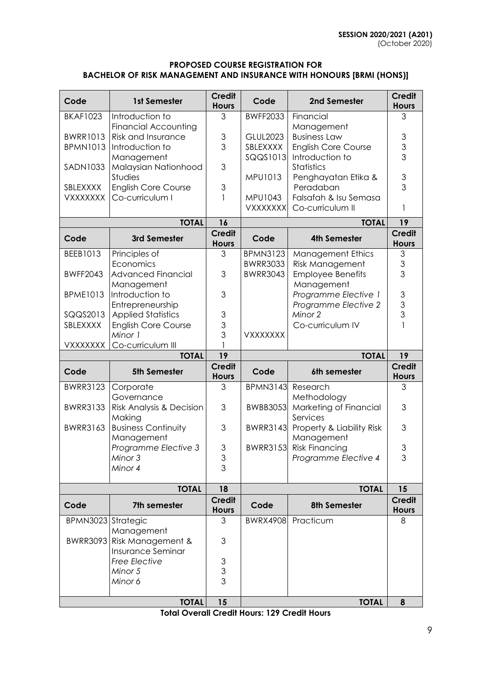# **PROPOSED COURSE REGISTRATION FOR BACHELOR OF RISK MANAGEMENT AND INSURANCE WITH HONOURS [BRMI (HONS)]**

| Code                               | 1st Semester                                 | <b>Credit</b><br><b>Hours</b> | Code                        | 2nd Semester                            | <b>Credit</b><br><b>Hours</b>  |
|------------------------------------|----------------------------------------------|-------------------------------|-----------------------------|-----------------------------------------|--------------------------------|
| <b>BKAF1023</b>                    | Introduction to                              | 3                             | <b>BWFF2033</b>             | Financial                               | 3                              |
|                                    | <b>Financial Accounting</b>                  |                               |                             | Management<br><b>Business Law</b>       |                                |
| <b>BWRR1013</b><br><b>BPMN1013</b> | <b>Risk and Insurance</b><br>Introduction to | 3<br>3                        | <b>GLUL2023</b><br>SBLEXXXX | <b>English Core Course</b>              | $\ensuremath{\mathsf{3}}$<br>3 |
|                                    | Management                                   |                               | SQQS1013                    | Introduction to                         | $\overline{3}$                 |
| <b>SADN1033</b>                    | Malaysian Nationhood                         | 3                             |                             | <b>Statistics</b>                       |                                |
|                                    | Studies                                      |                               | MPU1013                     | Penghayatan Etika &                     | $\mathfrak 3$                  |
| SBLEXXXX                           | <b>English Core Course</b>                   | 3                             |                             | Peradaban                               | 3                              |
| <b>VXXXXXXX</b>                    | Co-curriculum I                              | 1                             | MPU1043                     | Falsafah & Isu Semasa                   |                                |
|                                    |                                              |                               | <b>VXXXXXXX</b>             | Co-curriculum II                        | 1                              |
|                                    | <b>TOTAL</b>                                 | 16                            |                             | <b>TOTAL</b>                            | 19                             |
| Code                               | 3rd Semester                                 | <b>Credit</b><br><b>Hours</b> | Code                        | <b>4th Semester</b>                     | <b>Credit</b><br><b>Hours</b>  |
| BEEB1013                           | Principles of                                | 3                             | <b>BPMN3123</b>             | <b>Management Ethics</b>                | 3                              |
|                                    | Economics                                    |                               | <b>BWRR3033</b>             | <b>Risk Management</b>                  | $\mathsf 3$                    |
| <b>BWFF2043</b>                    | <b>Advanced Financial</b><br>Management      | 3                             | <b>BWRR3043</b>             | <b>Employee Benefits</b><br>Management  | 3                              |
| <b>BPME1013</b>                    | Introduction to                              | 3                             |                             | Programme Elective 1                    | $\ensuremath{\mathsf{3}}$      |
|                                    | Entrepreneurship                             |                               |                             | Programme Elective 2                    | 3                              |
| SQQS2013                           | <b>Applied Statistics</b>                    | 3                             |                             | Minor 2                                 | 3                              |
| SBLEXXXX                           | <b>English Core Course</b>                   | 3                             |                             | Co-curriculum IV                        | $\mathbf{1}$                   |
|                                    | Minor 1                                      | 3                             | <b>VXXXXXXX</b>             |                                         |                                |
| <b>VXXXXXXX</b>                    | Co-curriculum III                            |                               |                             |                                         |                                |
|                                    |                                              |                               |                             |                                         |                                |
|                                    | <b>TOTAL</b>                                 | 19                            |                             | <b>TOTAL</b>                            | 19                             |
| Code                               | 5th Semester                                 | <b>Credit</b><br><b>Hours</b> | Code                        | 6th semester                            | <b>Credit</b><br><b>Hours</b>  |
| <b>BWRR3123</b>                    | Corporate                                    | 3                             | <b>BPMN3143</b>             | Research                                | 3                              |
|                                    | Governance                                   |                               |                             | Methodology                             |                                |
| <b>BWRR3133</b>                    | Risk Analysis & Decision                     | 3                             | <b>BWBB3053</b>             | Marketing of Financial                  | 3                              |
|                                    | Making                                       |                               |                             | Services                                |                                |
| <b>BWRR3163</b>                    | <b>Business Continuity</b><br>Management     | 3                             | <b>BWRR3143</b>             | Property & Liability Risk<br>Management | 3                              |
|                                    | Programme Elective 3                         | 3                             | <b>BWRR3153</b>             | <b>Risk Financing</b>                   | 3                              |
|                                    | Minor 3                                      | 3                             |                             | Programme Elective 4                    | 3                              |
|                                    | Minor 4                                      | 3                             |                             |                                         |                                |
|                                    | <b>TOTAL</b>                                 | 18                            |                             | <b>TOTAL</b>                            | 15                             |
| Code                               | 7th semester                                 | <b>Credit</b><br><b>Hours</b> | Code                        | <b>8th Semester</b>                     | <b>Credit</b><br><b>Hours</b>  |
| BPMN3023 Strategic                 |                                              | 3                             | <b>BWRX4908</b>             | Practicum                               | 8                              |
|                                    | Management                                   |                               |                             |                                         |                                |
|                                    | BWRR3093 Risk Management &                   | 3                             |                             |                                         |                                |
|                                    | <b>Insurance Seminar</b>                     |                               |                             |                                         |                                |
|                                    | <b>Free Elective</b>                         | 3                             |                             |                                         |                                |
|                                    | Minor 5                                      | 3<br>3                        |                             |                                         |                                |
|                                    | Minor 6                                      |                               |                             |                                         |                                |

**Total Overall Credit Hours: 129 Credit Hours**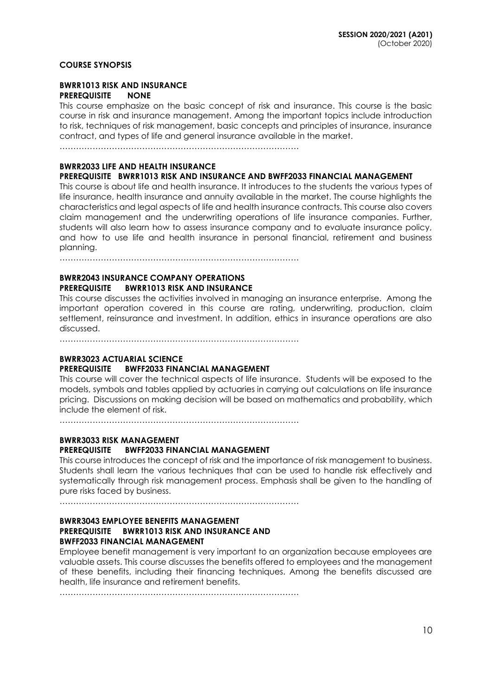## **COURSE SYNOPSIS**

## **BWRR1013 RISK AND INSURANCE PREREQUISITE NONE**

This course emphasize on the basic concept of risk and insurance. This course is the basic course in risk and insurance management. Among the important topics include introduction to risk, techniques of risk management, basic concepts and principles of insurance, insurance contract, and types of life and general insurance available in the market.

……………………………………………………………………………

### **BWRR2033 LIFE AND HEALTH INSURANCE**

### **PREREQUISITE BWRR1013 RISK AND INSURANCE AND BWFF2033 FINANCIAL MANAGEMENT**

This course is about life and health insurance. It introduces to the students the various types of life insurance, health insurance and annuity available in the market. The course highlights the characteristics and legal aspects of life and health insurance contracts. This course also covers claim management and the underwriting operations of life insurance companies. Further, students will also learn how to assess insurance company and to evaluate insurance policy, and how to use life and health insurance in personal financial, retirement and business planning.

……………………………………………………………………………

### **BWRR2043 INSURANCE COMPANY OPERATIONS PREREQUISITE BWRR1013 RISK AND INSURANCE**

This course discusses the activities involved in managing an insurance enterprise. Among the important operation covered in this course are rating, underwriting, production, claim settlement, reinsurance and investment. In addition, ethics in insurance operations are also discussed.

……………………………………………………………………………

# **BWRR3023 ACTUARIAL SCIENCE**

#### **PREREQUISITE BWFF2033 FINANCIAL MANAGEMENT**

This course will cover the technical aspects of life insurance. Students will be exposed to the models, symbols and tables applied by actuaries in carrying out calculations on life insurance pricing. Discussions on making decision will be based on mathematics and probability, which include the element of risk.

……………………………………………………………………………

# **BWRR3033 RISK MANAGEMENT PREREQUISITE BWFF2033 FINANCIAL MANAGEMENT**

This course introduces the concept of risk and the importance of risk management to business. Students shall learn the various techniques that can be used to handle risk effectively and systematically through risk management process. Emphasis shall be given to the handling of pure risks faced by business.

……………………………………………………………………………

### **BWRR3043 EMPLOYEE BENEFITS MANAGEMENT PREREQUISITE BWRR1013 RISK AND INSURANCE AND BWFF2033 FINANCIAL MANAGEMENT**

Employee benefit management is very important to an organization because employees are valuable assets. This course discusses the benefits offered to employees and the management of these benefits, including their financing techniques. Among the benefits discussed are health, life insurance and retirement benefits.

……………………………………………………………………………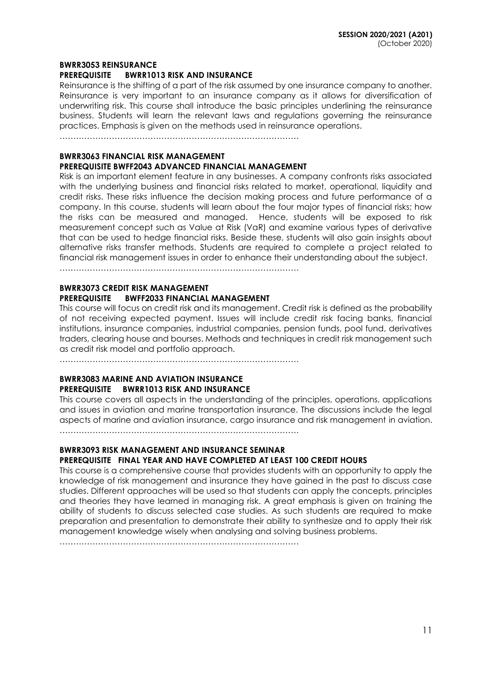#### **BWRR3053 REINSURANCE**

### **PREREQUISITE BWRR1013 RISK AND INSURANCE**

Reinsurance is the shifting of a part of the risk assumed by one insurance company to another. Reinsurance is very important to an insurance company as it allows for diversification of underwriting risk. This course shall introduce the basic principles underlining the reinsurance business. Students will learn the relevant laws and regulations governing the reinsurance practices. Emphasis is given on the methods used in reinsurance operations.

……………………………………………………………………………

# **BWRR3063 FINANCIAL RISK MANAGEMENT PREREQUISITE BWFF2043 ADVANCED FINANCIAL MANAGEMENT**

Risk is an important element feature in any businesses. A company confronts risks associated with the underlying business and financial risks related to market, operational, liquidity and credit risks. These risks influence the decision making process and future performance of a company. In this course, students will learn about the four major types of financial risks; how the risks can be measured and managed. Hence, students will be exposed to risk measurement concept such as Value at Risk (VaR) and examine various types of derivative that can be used to hedge financial risks. Beside these, students will also gain insights about alternative risks transfer methods. Students are required to complete a project related to financial risk management issues in order to enhance their understanding about the subject.

……………………………………………………………………………

### **BWRR3073 CREDIT RISK MANAGEMENT PREREQUISITE BWFF2033 FINANCIAL MANAGEMENT**

This course will focus on credit risk and its management. Credit risk is defined as the probability of not receiving expected payment. Issues will include credit risk facing banks, financial institutions, insurance companies, industrial companies, pension funds, pool fund, derivatives traders, clearing house and bourses. Methods and techniques in credit risk management such as credit risk model and portfolio approach.

……………………………………………………………………………

# **BWRR3083 MARINE AND AVIATION INSURANCE PREREQUISITE BWRR1013 RISK AND INSURANCE**

This course covers all aspects in the understanding of the principles, operations, applications and issues in aviation and marine transportation insurance. The discussions include the legal aspects of marine and aviation insurance, cargo insurance and risk management in aviation.

……………………………………………………………………………

# **BWRR3093 RISK MANAGEMENT AND INSURANCE SEMINAR**

# **PREREQUISITE FINAL YEAR AND HAVE COMPLETED AT LEAST 100 CREDIT HOURS**

This course is a comprehensive course that provides students with an opportunity to apply the knowledge of risk management and insurance they have gained in the past to discuss case studies. Different approaches will be used so that students can apply the concepts, principles and theories they have learned in managing risk. A great emphasis is given on training the ability of students to discuss selected case studies. As such students are required to make preparation and presentation to demonstrate their ability to synthesize and to apply their risk management knowledge wisely when analysing and solving business problems.

……………………………………………………………………………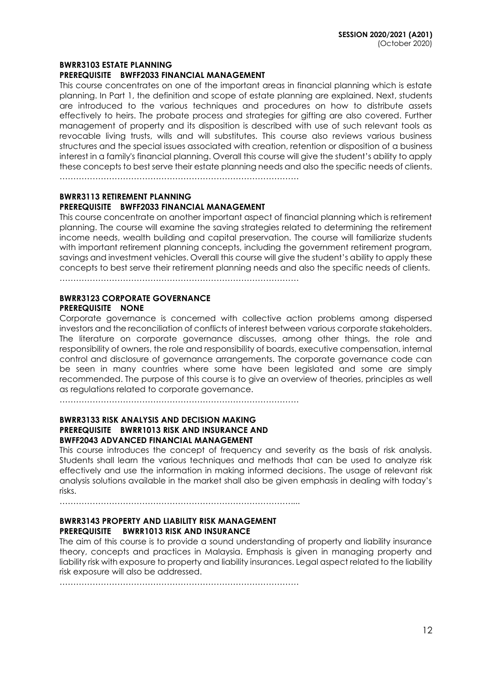#### **BWRR3103 ESTATE PLANNING**

### **PREREQUISITE BWFF2033 FINANCIAL MANAGEMENT**

This course concentrates on one of the important areas in financial planning which is estate planning. In Part 1, the definition and scope of estate planning are explained. Next, students are introduced to the various techniques and procedures on how to distribute assets effectively to heirs. The probate process and strategies for gifting are also covered. Further management of property and its disposition is described with use of such relevant tools as revocable living trusts, wills and will substitutes. This course also reviews various business structures and the special issues associated with creation, retention or disposition of a business interest in a family's financial planning. Overall this course will give the student's ability to apply these concepts to best serve their estate planning needs and also the specific needs of clients.

……………………………………………………………………………

### **BWRR3113 RETIREMENT PLANNING**

### **PREREQUISITE BWFF2033 FINANCIAL MANAGEMENT**

This course concentrate on another important aspect of financial planning which is retirement planning. The course will examine the saving strategies related to determining the retirement income needs, wealth building and capital preservation. The course will familiarize students with important retirement planning concepts, including the government retirement program, savings and investment vehicles. Overall this course will give the student's ability to apply these concepts to best serve their retirement planning needs and also the specific needs of clients.

……………………………………………………………………………

# **BWRR3123 CORPORATE GOVERNANCE PREREQUISITE NONE**

Corporate governance is concerned with collective action problems among dispersed investors and the reconciliation of conflicts of interest between various corporate stakeholders. The literature on corporate governance discusses, among other things, the role and responsibility of owners, the role and responsibility of boards, executive compensation, internal control and disclosure of governance arrangements. The corporate governance code can be seen in many countries where some have been legislated and some are simply recommended. The purpose of this course is to give an overview of theories, principles as well as regulations related to corporate governance.

……………………………………………………………………………

### **BWRR3133 RISK ANALYSIS AND DECISION MAKING PREREQUISITE BWRR1013 RISK AND INSURANCE AND BWFF2043 ADVANCED FINANCIAL MANAGEMENT**

This course introduces the concept of frequency and severity as the basis of risk analysis. Students shall learn the various techniques and methods that can be used to analyze risk effectively and use the information in making informed decisions. The usage of relevant risk analysis solutions available in the market shall also be given emphasis in dealing with today's risks.

…………………………………………………………………………....

# **BWRR3143 PROPERTY AND LIABILITY RISK MANAGEMENT PREREQUISITE BWRR1013 RISK AND INSURANCE**

The aim of this course is to provide a sound understanding of property and liability insurance theory, concepts and practices in Malaysia. Emphasis is given in managing property and liability risk with exposure to property and liability insurances. Legal aspect related to the liability risk exposure will also be addressed.

……………………………………………………………………………